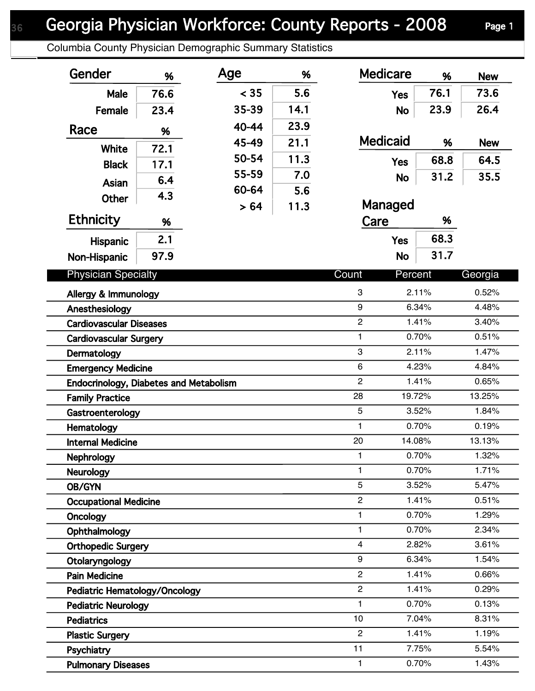## Georgia Physician Workforce: County Reports - 2008 Page 1

Columbia County Physician Demographic Summary Statistics

| Gender                                                           | %    | Age   | %                              | <b>Medicare</b>     | %      | <b>New</b>     |
|------------------------------------------------------------------|------|-------|--------------------------------|---------------------|--------|----------------|
| Male                                                             | 76.6 | < 35  | 5.6                            | <b>Yes</b>          | 76.1   | 73.6           |
| Female                                                           | 23.4 | 35-39 | 14.1                           | <b>No</b>           | 23.9   | 26.4           |
| Race                                                             | %    | 40-44 | 23.9                           |                     |        |                |
|                                                                  |      | 45-49 | 21.1                           | <b>Medicaid</b>     | %      | <b>New</b>     |
| <b>White</b>                                                     | 72.1 | 50-54 | 11.3                           | <b>Yes</b>          | 68.8   | 64.5           |
| <b>Black</b>                                                     | 17.1 | 55-59 | 7.0                            |                     | 31.2   | 35.5           |
| Asian                                                            | 6.4  | 60-64 | 5.6                            | <b>No</b>           |        |                |
| Other                                                            | 4.3  | > 64  | 11.3                           | Managed             |        |                |
| <b>Ethnicity</b>                                                 | %    |       |                                | Care                | %      |                |
| <b>Hispanic</b>                                                  | 2.1  |       |                                | <b>Yes</b>          | 68.3   |                |
| Non-Hispanic                                                     | 97.9 |       |                                | <b>No</b>           | 31.7   |                |
|                                                                  |      |       |                                |                     |        |                |
| <b>Physician Specialty</b>                                       |      |       |                                | Count<br>Percent    |        | Georgia        |
| Allergy & Immunology                                             |      |       |                                | 3                   | 2.11%  | 0.52%          |
| Anesthesiology                                                   |      |       |                                | 9                   | 6.34%  | 4.48%          |
| <b>Cardiovascular Diseases</b>                                   |      |       |                                | $\overline{c}$      | 1.41%  | 3.40%          |
| <b>Cardiovascular Surgery</b>                                    |      |       | $\mathbf{1}$<br>0.70%<br>2.11% |                     |        | 0.51%          |
| Dermatology                                                      |      |       |                                | 3<br>$6\phantom{1}$ | 4.23%  | 1.47%<br>4.84% |
| <b>Emergency Medicine</b>                                        |      |       |                                | $\overline{2}$      | 1.41%  | 0.65%          |
| Endocrinology, Diabetes and Metabolism<br><b>Family Practice</b> |      |       |                                | 28                  | 19.72% | 13.25%         |
| Gastroenterology                                                 |      |       |                                | 5                   | 3.52%  | 1.84%          |
| Hematology                                                       |      |       |                                | 1                   | 0.70%  | 0.19%          |
| <b>Internal Medicine</b>                                         |      |       |                                | 20                  | 14.08% | 13.13%         |
| Nephrology                                                       |      |       |                                | 1                   | 0.70%  | 1.32%          |
| <b>Neurology</b>                                                 |      |       |                                | 1                   | 0.70%  | 1.71%          |
| OB/GYN                                                           |      |       |                                | 5                   | 3.52%  | 5.47%          |
| <b>Occupational Medicine</b>                                     |      |       |                                | $\overline{c}$      | 1.41%  | 0.51%          |
| Oncology                                                         |      |       |                                | 1                   | 0.70%  | 1.29%          |
| Ophthalmology                                                    |      |       |                                | 1                   | 0.70%  | 2.34%          |
| <b>Orthopedic Surgery</b>                                        |      |       |                                | 4                   | 2.82%  | 3.61%          |
| Otolaryngology                                                   |      |       |                                | 9                   | 6.34%  | 1.54%          |
| <b>Pain Medicine</b>                                             |      |       |                                | $\overline{c}$      | 1.41%  | 0.66%          |
| Pediatric Hematology/Oncology                                    |      |       |                                | $\overline{c}$      | 1.41%  | 0.29%          |
| <b>Pediatric Neurology</b>                                       |      |       |                                | 1                   | 0.70%  | 0.13%          |
| <b>Pediatrics</b>                                                |      |       |                                | 10                  | 7.04%  | 8.31%          |
| <b>Plastic Surgery</b>                                           |      |       |                                | $\overline{2}$      | 1.41%  | 1.19%          |
| Psychiatry                                                       |      |       |                                | 11                  | 7.75%  | 5.54%          |
| <b>Pulmonary Diseases</b>                                        |      |       |                                | 1.                  | 0.70%  | 1.43%          |